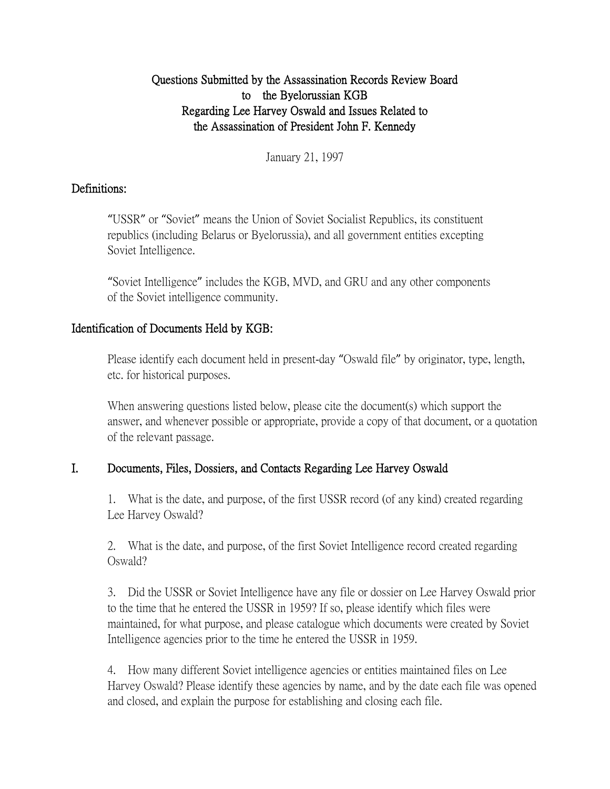## Questions Submitted by the Assassination Records Review Board to the Byelorussian KGB Regarding Lee Harvey Oswald and Issues Related to the Assassination of President John F. Kennedy

January 21, 1997

### Definitions:

"USSR" or "Soviet" means the Union of Soviet Socialist Republics, its constituent republics (including Belarus or Byelorussia), and all government entities excepting Soviet Intelligence.

"Soviet Intelligence" includes the KGB, MVD, and GRU and any other components of the Soviet intelligence community.

## Identification of Documents Held by KGB:

Please identify each document held in present-day "Oswald file" by originator, type, length, etc. for historical purposes.

When answering questions listed below, please cite the document(s) which support the answer, and whenever possible or appropriate, provide a copy of that document, or a quotation of the relevant passage.

# I. Documents, Files, Dossiers, and Contacts Regarding Lee Harvey Oswald

1. What is the date, and purpose, of the first USSR record (of any kind) created regarding Lee Harvey Oswald?

2. What is the date, and purpose, of the first Soviet Intelligence record created regarding Oswald?

3. Did the USSR or Soviet Intelligence have any file or dossier on Lee Harvey Oswald prior to the time that he entered the USSR in 1959? If so, please identify which files were maintained, for what purpose, and please catalogue which documents were created by Soviet Intelligence agencies prior to the time he entered the USSR in 1959.

4. How many different Soviet intelligence agencies or entities maintained files on Lee Harvey Oswald? Please identify these agencies by name, and by the date each file was opened and closed, and explain the purpose for establishing and closing each file.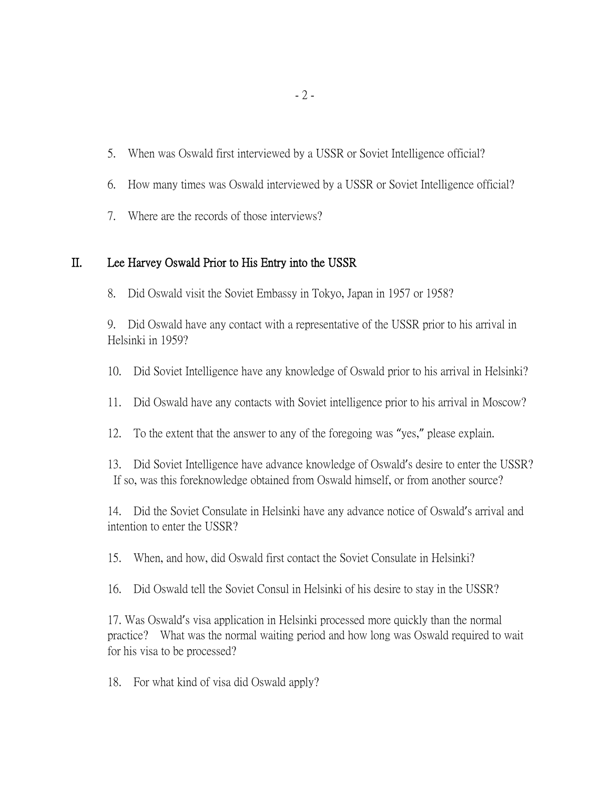- 5. When was Oswald first interviewed by a USSR or Soviet Intelligence official?
- 6. How many times was Oswald interviewed by a USSR or Soviet Intelligence official?
- 7. Where are the records of those interviews?

### II. Lee Harvey Oswald Prior to His Entry into the USSR

8. Did Oswald visit the Soviet Embassy in Tokyo, Japan in 1957 or 1958?

9. Did Oswald have any contact with a representative of the USSR prior to his arrival in Helsinki in 1959?

10. Did Soviet Intelligence have any knowledge of Oswald prior to his arrival in Helsinki?

11. Did Oswald have any contacts with Soviet intelligence prior to his arrival in Moscow?

12. To the extent that the answer to any of the foregoing was "yes," please explain.

13. Did Soviet Intelligence have advance knowledge of Oswald's desire to enter the USSR? If so, was this foreknowledge obtained from Oswald himself, or from another source?

14. Did the Soviet Consulate in Helsinki have any advance notice of Oswald's arrival and intention to enter the USSR?

15. When, and how, did Oswald first contact the Soviet Consulate in Helsinki?

16. Did Oswald tell the Soviet Consul in Helsinki of his desire to stay in the USSR?

17. Was Oswald's visa application in Helsinki processed more quickly than the normal practice? What was the normal waiting period and how long was Oswald required to wait for his visa to be processed?

18. For what kind of visa did Oswald apply?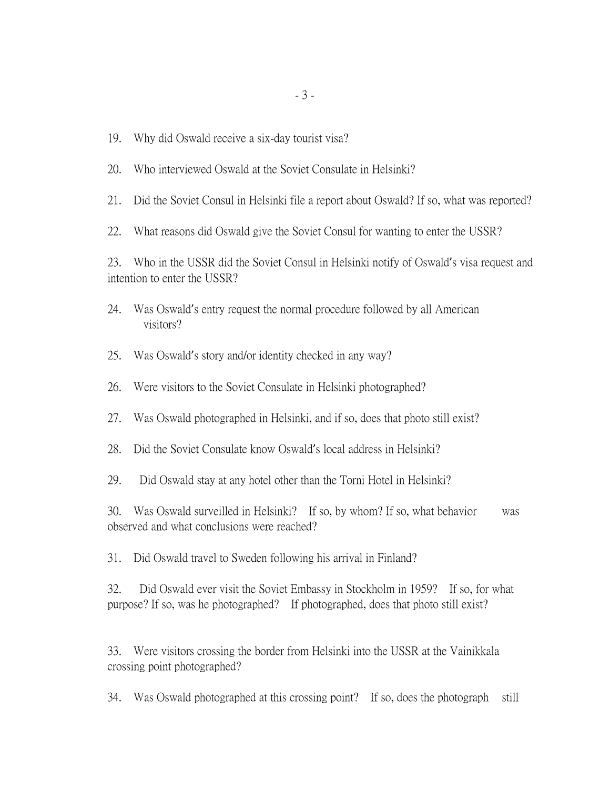- 19. Why did Oswald receive a six-day tourist visa?
- 20. Who interviewed Oswald at the Soviet Consulate in Helsinki?
- 21. Did the Soviet Consul in Helsinki file a report about Oswald? If so, what was reported?
- 22. What reasons did Oswald give the Soviet Consul for wanting to enter the USSR?

23. Who in the USSR did the Soviet Consul in Helsinki notify of Oswald's visa request and intention to enter the USSR?

- 24. Was Oswald's entry request the normal procedure followed by all American visitors?
- 25. Was Oswald's story and/or identity checked in any way?
- 26. Were visitors to the Soviet Consulate in Helsinki photographed?
- 27. Was Oswald photographed in Helsinki, and if so, does that photo still exist?
- 28. Did the Soviet Consulate know Oswald's local address in Helsinki?
- 29. Did Oswald stay at any hotel other than the Torni Hotel in Helsinki?

30. Was Oswald surveilled in Helsinki? If so, by whom? If so, what behavior was observed and what conclusions were reached?

31. Did Oswald travel to Sweden following his arrival in Finland?

32. Did Oswald ever visit the Soviet Embassy in Stockholm in 1959? If so, for what purpose? If so, was he photographed? If photographed, does that photo still exist?

33. Were visitors crossing the border from Helsinki into the USSR at the Vainikkala crossing point photographed?

34. Was Oswald photographed at this crossing point? If so, does the photograph still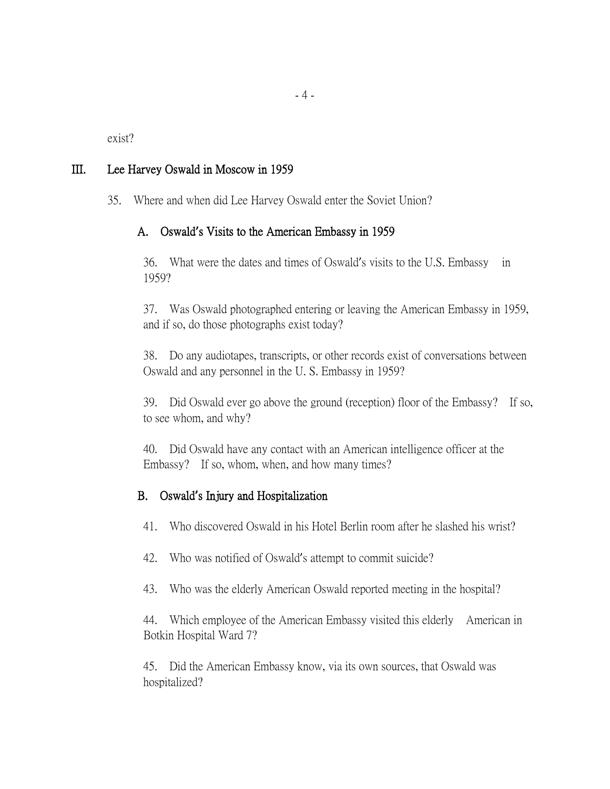exist?

### III. Lee Harvey Oswald in Moscow in 1959

35. Where and when did Lee Harvey Oswald enter the Soviet Union?

### A. Oswald**'**s Visits to the American Embassy in 1959

36. What were the dates and times of Oswald's visits to the U.S. Embassy in 1959?

37. Was Oswald photographed entering or leaving the American Embassy in 1959, and if so, do those photographs exist today?

38. Do any audiotapes, transcripts, or other records exist of conversations between Oswald and any personnel in the U. S. Embassy in 1959?

39. Did Oswald ever go above the ground (reception) floor of the Embassy? If so, to see whom, and why?

40. Did Oswald have any contact with an American intelligence officer at the Embassy? If so, whom, when, and how many times?

#### B. Oswald**'**s Injury and Hospitalization

41. Who discovered Oswald in his Hotel Berlin room after he slashed his wrist?

- 42. Who was notified of Oswald's attempt to commit suicide?
- 43. Who was the elderly American Oswald reported meeting in the hospital?

44. Which employee of the American Embassy visited this elderly American in Botkin Hospital Ward 7?

45. Did the American Embassy know, via its own sources, that Oswald was hospitalized?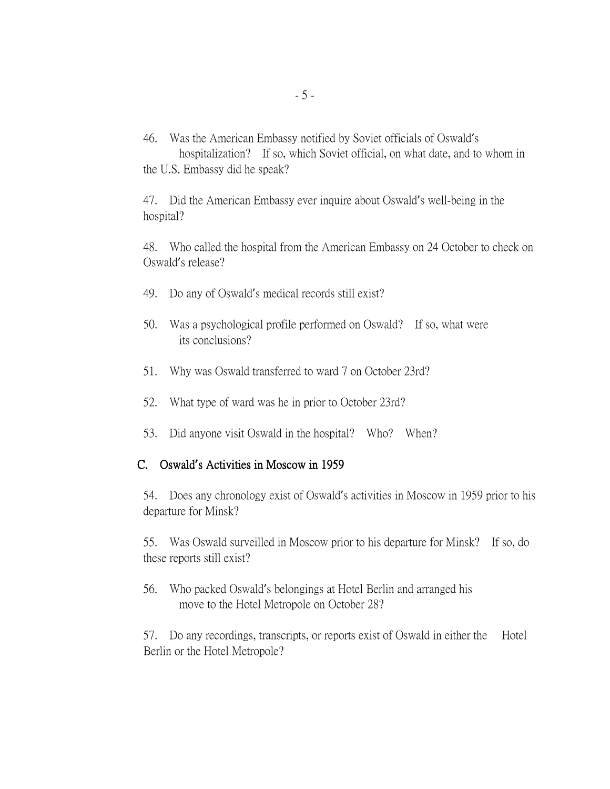46. Was the American Embassy notified by Soviet officials of Oswald's hospitalization? If so, which Soviet official, on what date, and to whom in the U.S. Embassy did he speak?

47. Did the American Embassy ever inquire about Oswald's well-being in the hospital?

48. Who called the hospital from the American Embassy on 24 October to check on Oswald's release?

- 49. Do any of Oswald's medical records still exist?
- 50. Was a psychological profile performed on Oswald? If so, what were its conclusions?
- 51. Why was Oswald transferred to ward 7 on October 23rd?
- 52. What type of ward was he in prior to October 23rd?
- 53. Did anyone visit Oswald in the hospital? Who? When?

#### C. Oswald**'**s Activities in Moscow in 1959

54. Does any chronology exist of Oswald's activities in Moscow in 1959 prior to his departure for Minsk?

55. Was Oswald surveilled in Moscow prior to his departure for Minsk? If so, do these reports still exist?

56. Who packed Oswald's belongings at Hotel Berlin and arranged his move to the Hotel Metropole on October 28?

57. Do any recordings, transcripts, or reports exist of Oswald in either the Hotel Berlin or the Hotel Metropole?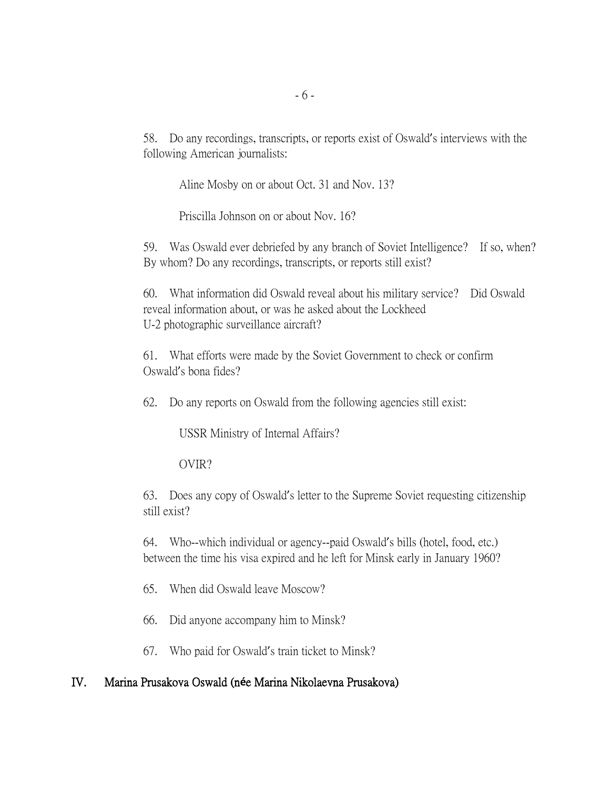58. Do any recordings, transcripts, or reports exist of Oswald's interviews with the following American journalists:

Aline Mosby on or about Oct. 31 and Nov. 13?

Priscilla Johnson on or about Nov. 16?

59. Was Oswald ever debriefed by any branch of Soviet Intelligence? If so, when? By whom? Do any recordings, transcripts, or reports still exist?

60. What information did Oswald reveal about his military service? Did Oswald reveal information about, or was he asked about the Lockheed U-2 photographic surveillance aircraft?

61. What efforts were made by the Soviet Government to check or confirm Oswald's bona fides?

62. Do any reports on Oswald from the following agencies still exist:

USSR Ministry of Internal Affairs?

OVIR?

63. Does any copy of Oswald's letter to the Supreme Soviet requesting citizenship still exist?

64. Who--which individual or agency--paid Oswald's bills (hotel, food, etc.) between the time his visa expired and he left for Minsk early in January 1960?

- 65. When did Oswald leave Moscow?
- 66. Did anyone accompany him to Minsk?
- 67. Who paid for Oswald's train ticket to Minsk?

#### IV. Marina Prusakova Oswald (n**é**e Marina Nikolaevna Prusakova)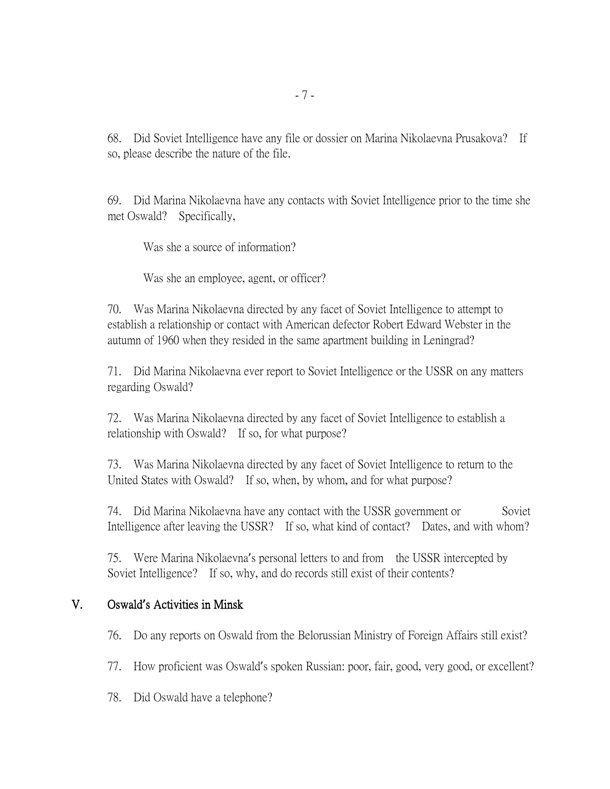68. Did Soviet Intelligence have any file or dossier on Marina Nikolaevna Prusakova? If so, please describe the nature of the file.

69. Did Marina Nikolaevna have any contacts with Soviet Intelligence prior to the time she met Oswald? Specifically,

Was she a source of information?

Was she an employee, agent, or officer?

70. Was Marina Nikolaevna directed by any facet of Soviet Intelligence to attempt to establish a relationship or contact with American defector Robert Edward Webster in the autumn of 1960 when they resided in the same apartment building in Leningrad?

71. Did Marina Nikolaevna ever report to Soviet Intelligence or the USSR on any matters regarding Oswald?

72. Was Marina Nikolaevna directed by any facet of Soviet Intelligence to establish a relationship with Oswald? If so, for what purpose?

73. Was Marina Nikolaevna directed by any facet of Soviet Intelligence to return to the United States with Oswald? If so, when, by whom, and for what purpose?

74. Did Marina Nikolaevna have any contact with the USSR government or Soviet Intelligence after leaving the USSR? If so, what kind of contact? Dates, and with whom?

75. Were Marina Nikolaevna's personal letters to and from the USSR intercepted by Soviet Intelligence? If so, why, and do records still exist of their contents?

### V. Oswald**'**s Activities in Minsk

76. Do any reports on Oswald from the Belorussian Ministry of Foreign Affairs still exist?

77. How proficient was Oswald's spoken Russian: poor, fair, good, very good, or excellent?

78. Did Oswald have a telephone?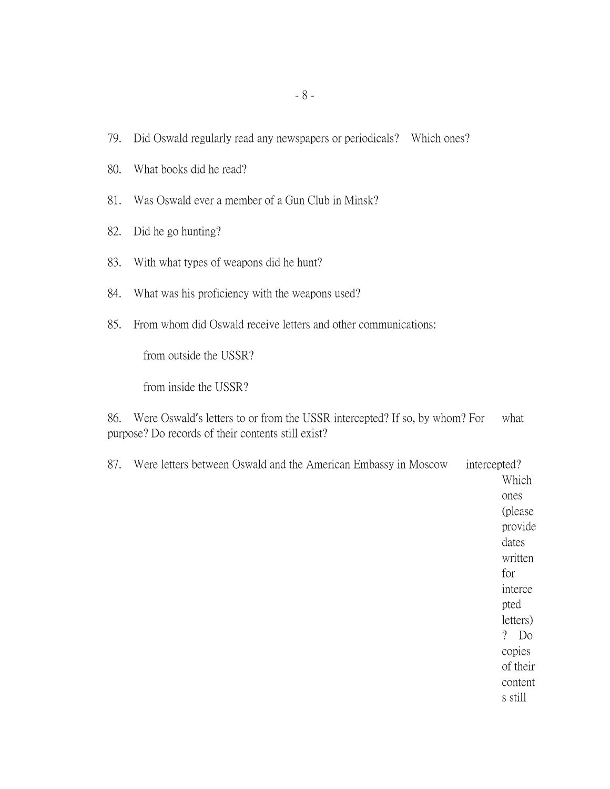- 79. Did Oswald regularly read any newspapers or periodicals? Which ones?
- 80. What books did he read?
- 81. Was Oswald ever a member of a Gun Club in Minsk?
- 82. Did he go hunting?
- 83. With what types of weapons did he hunt?
- 84. What was his proficiency with the weapons used?
- 85. From whom did Oswald receive letters and other communications:

from outside the USSR?

from inside the USSR?

86. Were Oswald's letters to or from the USSR intercepted? If so, by whom? For what purpose? Do records of their contents still exist?

| 87. | Were letters between Oswald and the American Embassy in Moscow | intercepted?         |
|-----|----------------------------------------------------------------|----------------------|
|     |                                                                | Which                |
|     |                                                                | ones                 |
|     |                                                                | (please)             |
|     |                                                                | provide              |
|     |                                                                | dates                |
|     |                                                                | written              |
|     |                                                                | for                  |
|     |                                                                | interce              |
|     |                                                                | pted                 |
|     |                                                                | letters)             |
|     |                                                                | $\overline{?}$<br>Do |
|     |                                                                | copies               |
|     |                                                                | of their             |
|     |                                                                | content              |
|     |                                                                | s still              |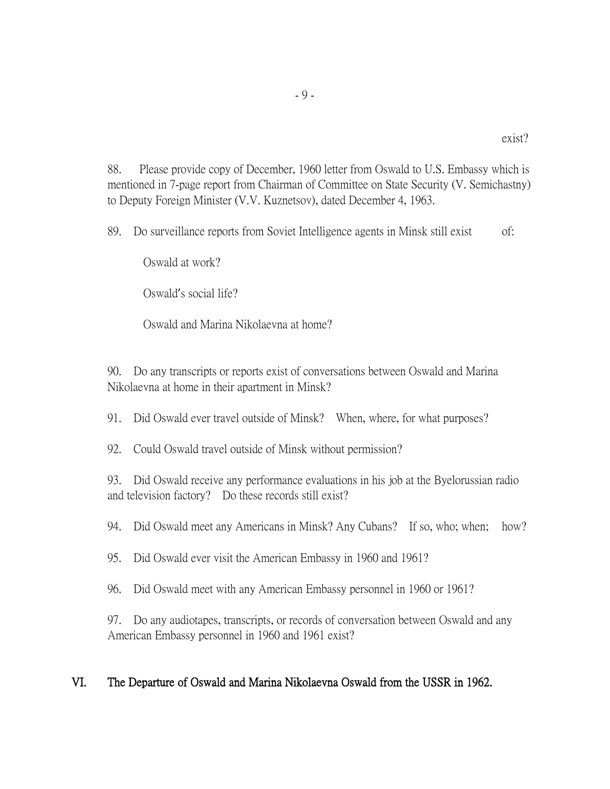88. Please provide copy of December, 1960 letter from Oswald to U.S. Embassy which is mentioned in 7-page report from Chairman of Committee on State Security (V. Semichastny) to Deputy Foreign Minister (V.V. Kuznetsov), dated December 4, 1963.

89. Do surveillance reports from Soviet Intelligence agents in Minsk still exist of:

Oswald at work?

Oswald's social life?

Oswald and Marina Nikolaevna at home?

90. Do any transcripts or reports exist of conversations between Oswald and Marina Nikolaevna at home in their apartment in Minsk?

91. Did Oswald ever travel outside of Minsk? When, where, for what purposes?

92. Could Oswald travel outside of Minsk without permission?

93. Did Oswald receive any performance evaluations in his job at the Byelorussian radio and television factory? Do these records still exist?

94. Did Oswald meet any Americans in Minsk? Any Cubans? If so, who; when; how?

95. Did Oswald ever visit the American Embassy in 1960 and 1961?

96. Did Oswald meet with any American Embassy personnel in 1960 or 1961?

97. Do any audiotapes, transcripts, or records of conversation between Oswald and any American Embassy personnel in 1960 and 1961 exist?

# VI. The Departure of Oswald and Marina Nikolaevna Oswald from the USSR in 1962.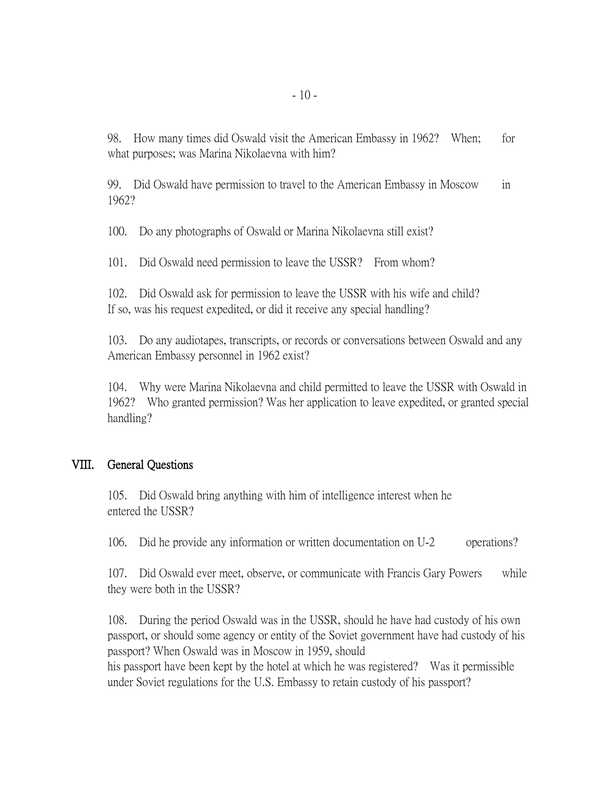98. How many times did Oswald visit the American Embassy in 1962? When; for what purposes; was Marina Nikolaevna with him?

99. Did Oswald have permission to travel to the American Embassy in Moscow in 1962?

100. Do any photographs of Oswald or Marina Nikolaevna still exist?

101. Did Oswald need permission to leave the USSR? From whom?

102. Did Oswald ask for permission to leave the USSR with his wife and child? If so, was his request expedited, or did it receive any special handling?

103. Do any audiotapes, transcripts, or records or conversations between Oswald and any American Embassy personnel in 1962 exist?

104. Why were Marina Nikolaevna and child permitted to leave the USSR with Oswald in 1962? Who granted permission? Was her application to leave expedited, or granted special handling?

#### VIII. General Questions

105. Did Oswald bring anything with him of intelligence interest when he entered the USSR?

106. Did he provide any information or written documentation on U-2 operations?

107. Did Oswald ever meet, observe, or communicate with Francis Gary Powers while they were both in the USSR?

108. During the period Oswald was in the USSR, should he have had custody of his own passport, or should some agency or entity of the Soviet government have had custody of his passport? When Oswald was in Moscow in 1959, should his passport have been kept by the hotel at which he was registered? Was it permissible

under Soviet regulations for the U.S. Embassy to retain custody of his passport?